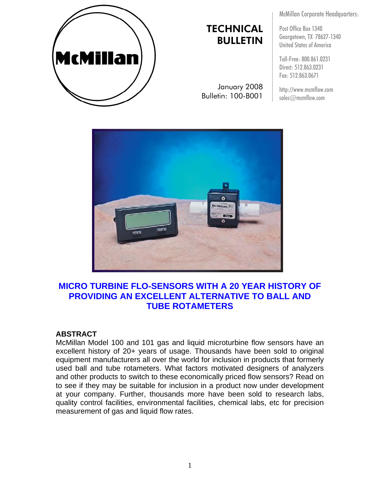

# **TECHNICAL** BULLETIN

January 2008 Bulletin: 100-B001

McMillan Corporate Headquarters:

Post Office Box 1340 Georgetown, TX 78627-1340 United States of America

Toll-Free: 800.861.0231 Direct: 512.863.0231 Fax: 512.863.0671

http://www.mcmflow.com sales@mcmflow.com



# **MICRO TURBINE FLO-SENSORS WITH A 20 YEAR HISTORY OF PROVIDING AN EXCELLENT ALTERNATIVE TO BALL AND TUBE ROTAMETERS**

#### **ABSTRACT**

McMillan Model 100 and 101 gas and liquid microturbine flow sensors have an excellent history of 20+ years of usage. Thousands have been sold to original equipment manufacturers all over the world for inclusion in products that formerly used ball and tube rotameters. What factors motivated designers of analyzers and other products to switch to these economically priced flow sensors? Read on to see if they may be suitable for inclusion in a product now under development at your company. Further, thousands more have been sold to research labs, quality control facilities, environmental facilities, chemical labs, etc for precision measurement of gas and liquid flow rates.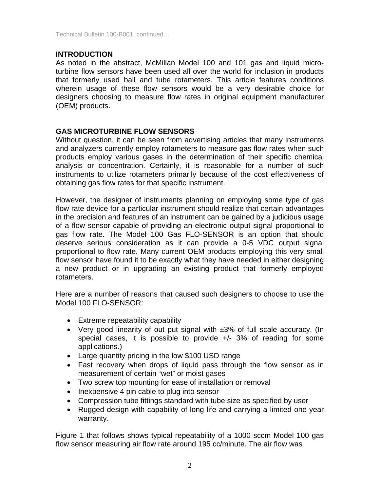Technical Bulletin 100-B001, continued…

## **INTRODUCTION**

As noted in the abstract, McMillan Model 100 and 101 gas and liquid microturbine flow sensors have been used all over the world for inclusion in products that formerly used ball and tube rotameters. This article features conditions wherein usage of these flow sensors would be a very desirable choice for designers choosing to measure flow rates in original equipment manufacturer (OEM) products.

## **GAS MICROTURBINE FLOW SENSORS**

Without question, it can be seen from advertising articles that many instruments and analyzers currently employ rotameters to measure gas flow rates when such products employ various gases in the determination of their specific chemical analysis or concentration. Certainly, it is reasonable for a number of such instruments to utilize rotameters primarily because of the cost effectiveness of obtaining gas flow rates for that specific instrument.

However, the designer of instruments planning on employing some type of gas flow rate device for a particular instrument should realize that certain advantages in the precision and features of an instrument can be gained by a judicious usage of a flow sensor capable of providing an electronic output signal proportional to gas flow rate. The Model 100 Gas FLO-SENSOR is an option that should deserve serious consideration as it can provide a 0-5 VDC output signal proportional to flow rate. Many current OEM products employing this very small flow sensor have found it to be exactly what they have needed in either designing a new product or in upgrading an existing product that formerly employed rotameters.

Here are a number of reasons that caused such designers to choose to use the Model 100 FLO-SENSOR:

- Extreme repeatability capability
- Very good linearity of out put signal with  $\pm 3\%$  of full scale accuracy. (In special cases, it is possible to provide +/- 3% of reading for some applications.)
- Large quantity pricing in the low \$100 USD range
- Fast recovery when drops of liquid pass through the flow sensor as in measurement of certain "wet" or moist gases
- Two screw top mounting for ease of installation or removal
- Inexpensive 4 pin cable to plug into sensor
- Compression tube fittings standard with tube size as specified by user
- Rugged design with capability of long life and carrying a limited one year warranty.

Figure 1 that follows shows typical repeatability of a 1000 sccm Model 100 gas flow sensor measuring air flow rate around 195 cc/minute. The air flow was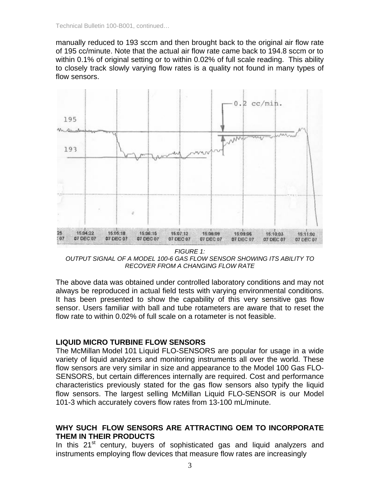manually reduced to 193 sccm and then brought back to the original air flow rate of 195 cc/minute. Note that the actual air flow rate came back to 194.8 sccm or to within 0.1% of original setting or to within 0.02% of full scale reading. This ability to closely track slowly varying flow rates is a quality not found in many types of flow sensors.



*FIGURE 1: OUTPUT SIGNAL OF A MODEL 100-6 GAS FLOW SENSOR SHOWING ITS ABILITY TO RECOVER FROM A CHANGING FLOW RATE* 

The above data was obtained under controlled laboratory conditions and may not always be reproduced in actual field tests with varying environmental conditions. It has been presented to show the capability of this very sensitive gas flow sensor. Users familiar with ball and tube rotameters are aware that to reset the flow rate to within 0.02% of full scale on a rotameter is not feasible.

#### **LIQUID MICRO TURBINE FLOW SENSORS**

The McMillan Model 101 Liquid FLO-SENSORS are popular for usage in a wide variety of liquid analyzers and monitoring instruments all over the world. These flow sensors are very similar in size and appearance to the Model 100 Gas FLO-SENSORS, but certain differences internally are required. Cost and performance characteristics previously stated for the gas flow sensors also typify the liquid flow sensors. The largest selling McMillan Liquid FLO-SENSOR is our Model 101-3 which accurately covers flow rates from 13-100 mL/minute.

## **WHY SUCH FLOW SENSORS ARE ATTRACTING OEM TO INCORPORATE THEM IN THEIR PRODUCTS**

In this  $21<sup>st</sup>$  century, buyers of sophisticated gas and liquid analyzers and instruments employing flow devices that measure flow rates are increasingly